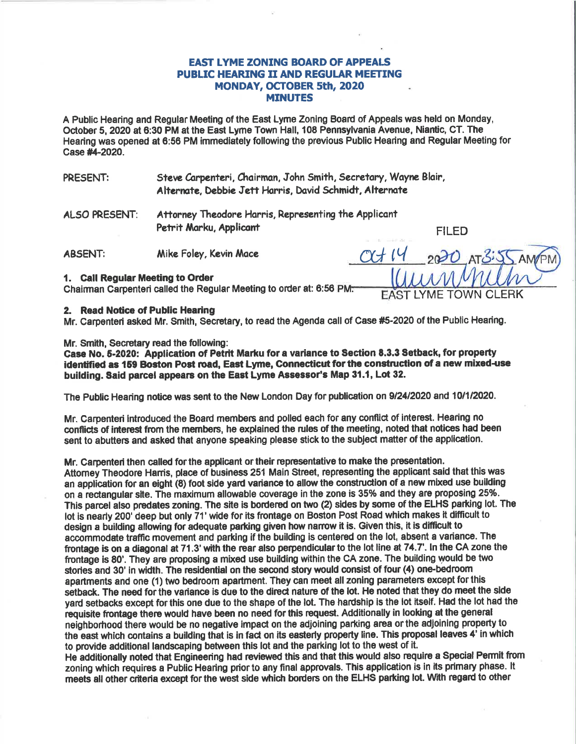## **EAST LYME ZONING BOARD OF APPEALS PUBLIC HEARING II AND REGULAR MEETING** MONDAY, OCTOBER 5th, 2020 **MINUTES**

A Public Hearing and Regular Meeting of the East Lyme Zoning Board of Appeals was held on Monday. October 5, 2020 at 6:30 PM at the East Lyme Town Hall, 108 Pennsylvania Avenue, Niantic, CT. The Hearing was opened at 6:56 PM immediately following the previous Public Hearing and Regular Meeting for Case #4-2020.

- Steve Carpenteri, Chairman, John Smith, Secretary, Wayne Blair, PRESENT: Alternate, Debbie Jett Harris, David Schmidt, Alternate
- Attorney Theodore Harris, Representing the Applicant **ALSO PRESENT:** Petrit Marku, Applicant

**FILED** 

**TOWN CLERK** 

**LYME** 

**ABSENT:** Mike Foley, Kevin Mace

#### 1. Call Regular Meeting to Order

Chairman Carpenteri called the Regular Meeting to order at: 6:56 PM.

## 2. Read Notice of Public Hearing

Mr. Carpenteri asked Mr. Smith, Secretary, to read the Agenda call of Case #5-2020 of the Public Hearing.

## Mr. Smith. Secretary read the following:

Case No. 5-2020: Application of Petrit Marku for a variance to Section 8.3.3 Setback, for property identified as 159 Boston Post road, East Lyme, Connecticut for the construction of a new mixed-use building. Said parcel appears on the East Lyme Assessor's Map 31.1, Lot 32.

The Public Hearing notice was sent to the New London Day for publication on 9/24/2020 and 10/1/2020.

Mr. Carpenteri introduced the Board members and polled each for any conflict of interest. Hearing no conflicts of interest from the members, he explained the rules of the meeting, noted that notices had been sent to abutters and asked that anyone speaking please stick to the subject matter of the application.

## Mr. Carpenteri then called for the applicant or their representative to make the presentation.

Attorney Theodore Harris, place of business 251 Main Street, representing the applicant said that this was an application for an eight (8) foot side yard variance to allow the construction of a new mixed use building on a rectangular site. The maximum allowable coverage in the zone is 35% and they are proposing 25%. This parcel also predates zoning. The site is bordered on two (2) sides by some of the ELHS parking lot. The lot is nearly 200' deep but only 71' wide for its frontage on Boston Post Road which makes it difficult to design a building allowing for adequate parking given how narrow it is. Given this, it is difficult to accommodate traffic movement and parking if the building is centered on the lot, absent a variance. The frontage is on a diagonal at 71.3' with the rear also perpendicular to the lot line at 74.7'. In the CA zone the frontage is 80'. They are proposing a mixed use building within the CA zone. The building would be two stories and 30' in width. The residential on the second story would consist of four (4) one-bedroom apartments and one (1) two bedroom apartment. They can meet all zoning parameters except for this setback. The need for the variance is due to the direct nature of the lot. He noted that they do meet the side yard setbacks except for this one due to the shape of the lot. The hardship is the lot itself. Had the lot had the requisite frontage there would have been no need for this request. Additionally in looking at the general neighborhood there would be no negative impact on the adjoining parking area or the adjoining property to the east which contains a building that is in fact on its easterly property line. This proposal leaves 4' in which to provide additional landscaping between this lot and the parking lot to the west of it.

He additionally noted that Engineering had reviewed this and that this would also require a Special Permit from zoning which requires a Public Hearing prior to any final approvals. This application is in its primary phase. It meets all other criteria except for the west side which borders on the ELHS parking lot. With regard to other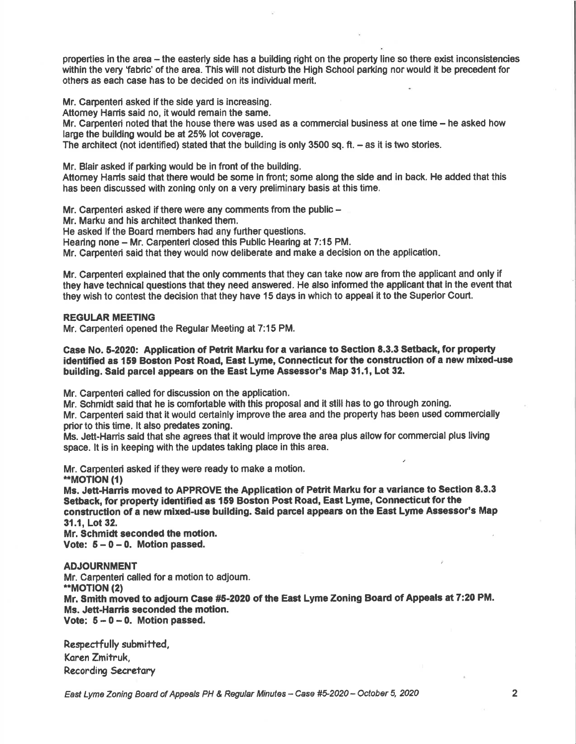properties in the area - the easterly side has a building right on the property line so there exist inconsistencies within the very 'fabric' of the area. This will not disturb the High School parking nor would it be precedent for others as each case has to be decided on its individual merit,

Mr. Carpenteri asked if the side yard is increasing.

Attorney Harris said no, it would remain the same.

Mr. Carpenteri noted that the house there was used as a commercial business at one time - he asked how large the building would be at 25% lot coverage.

The architect (not identified) stated that the building is only 3500 sq. ft.  $-$  as it is two stories.

Mr. Blair asked if parking would be in front of the building.

Attomey Henis said that there would be some in fiont; some along the slde and in back. He added that this has been discussed with zoning only on a very preliminary basis at this time.

Mr. Carpenteri asked if there were any comments from the public  $-$ 

Mr. Marku and his architect thanked them.

He asked if the Board members had any further questions.

Hearing none - Mr. Carpenteri closed this Public Hearing at 7:15 PM.

Mr. Carpenteri said that they would now deliberate and make a decision on the application

Mr. Garpenteri explained that the only comments that they can take now are from the applicant and only if they have technical questions that they need answered. He also informed the applicant that in the event that they wish to contest the decision that they have 15 days in which to appeal it to the Superior Court.

#### REGULAR MEETING

Mr. Carpenteri opened the Regular Meeting at 7:15 PM.

#### Case No. 5-2020: Application of Petrit Marku for a variance to Section 8.3.3 Setback, for property identified as 159 Boston Post Road, East Lyme, Connecticut for the construction of a new mixed-use building. Said parcel appears on the East Lyme Assessor's Map 31.1, Lot 32.

Mr. Carpenteri called for discussion on the application.

Mr. Schmidt said that he is comfortable with this proposal and it still has to go through zoning.

Mr. Carpenteri said that it would certainly improve the area and the property hes been used commerclally priorto this time. lt also predates zoning.

Ms. Jett-Harris said that she agrees that it would improve the area plus allow for commercial plus living space. lt is in keeping with the updates taking place in this area.

Mr. Carpenteri asked if they were ready to make a motion.

\*\*MOTION (1)

Ms. Jett-Hanis moved to APPROVE the Application of Petrit Marku for a variance to Section 8.3.3 Setback, for property identified as 159 Boston Post Road, East Lyme, Connecticut for the construction of a new mixed-use building. Said parcel appears on the East Lyme Assessor's Map 31.1, Lot 32.

Mr. Schmidt seconded the motion Vote:  $5 - 0 - 0$ . Motion passed.

### ADJOURNMENT

Mr. Carpenteri called for a motion to adjourn. \*MOTION (2) Mr. Smith moved to adjourn Case #5-2020 of the East Lyme Zoning Board of Appeals at 7:20 PM. Ms. Jett-Harris seconded the motion. Vote:  $5 - 0 - 0$ . Motion passed.

Respectfully submitted, Koren Zmitruk, Recording Secretary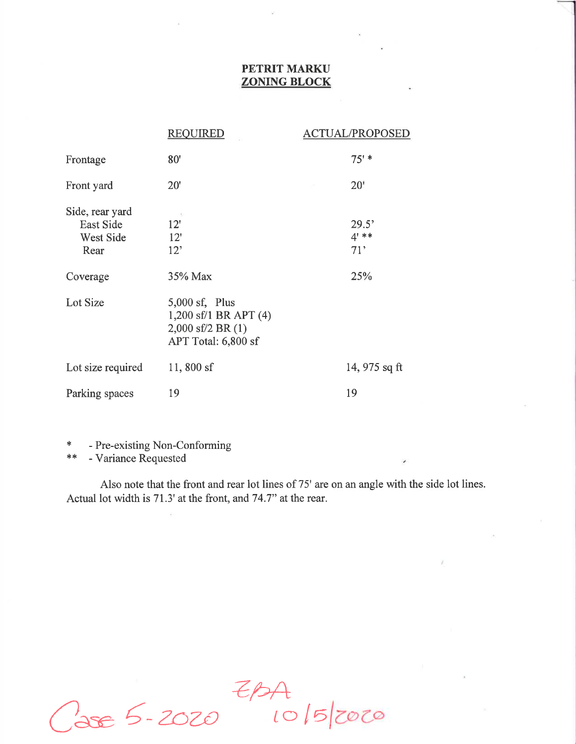# PETRIT MARKU ZONING BLOCK

|                                                   | <b>REQUIRED</b>                                                                           | <b>ACTUAL/PROPOSED</b> |               |
|---------------------------------------------------|-------------------------------------------------------------------------------------------|------------------------|---------------|
| Frontage                                          | 80'                                                                                       | $75'$ *                |               |
| Front yard                                        | $20^{\circ}$                                                                              | 20'                    |               |
| Side, rear yard<br>East Side<br>West Side<br>Rear | - 5<br>12'<br>12'<br>$12^{\circ}$                                                         | $4'$ **<br>71'         | 29.5'         |
| Coverage                                          | 35% Max                                                                                   | 25%                    |               |
| Lot Size                                          | $5,000$ sf, Plus<br>1,200 sf/1 BR APT (4)<br>$2,000$ sf/2 BR $(1)$<br>APT Total: 6,800 sf |                        |               |
| Lot size required                                 | 11,800 $sf$                                                                               |                        | 14, 975 sq ft |
| Parking spaces                                    | 19                                                                                        | 19                     |               |

{. - Pre-existing Non-Conforming

 $**$ - Variance Requested

Also note that the front and rear lot lines of 75' are on an angle with the side lot lines. Actual lot width is 71.3' at the front, and 74.7" at the rear.

 $ZPA$